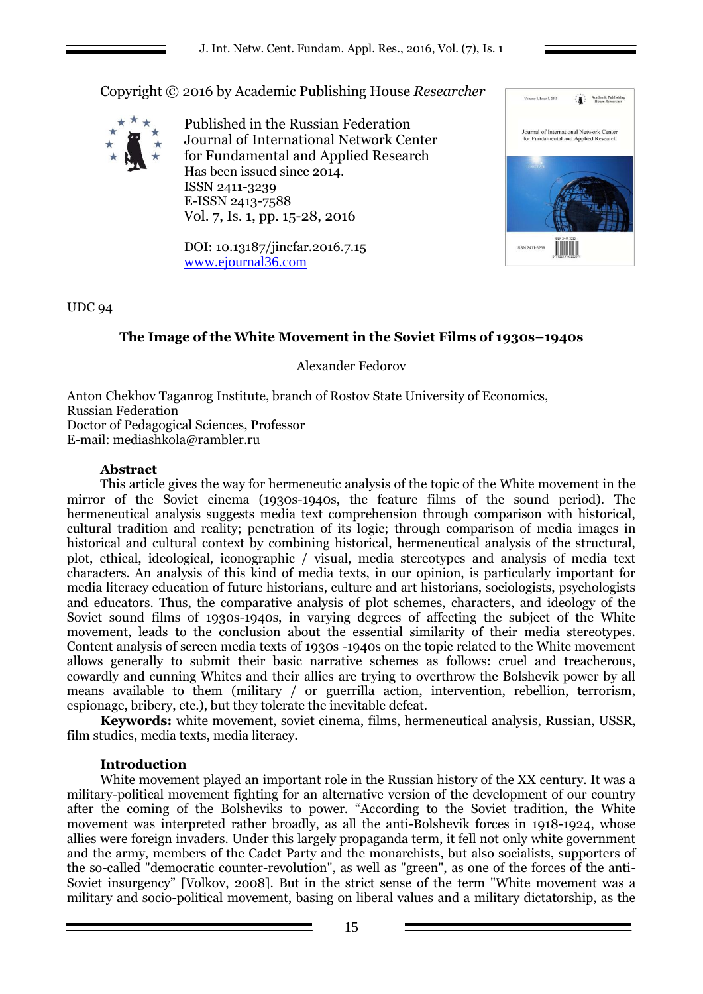Copyright © 2016 by Academic Publishing House *Researcher*



Published in the Russian Federation Journal of International Network Center for Fundamental and Applied Research Has been issued since 2014. ISSN 2411-3239 E-ISSN 2413-7588 Vol. 7, Is. 1, pp. 15-28, 2016

DOI: 10.13187/jincfar.2016.7.15 [www.ejournal36.com](http://www.ejournal8.com/)



# UDC 94

# **The Image of the White Movement in the Soviet Films of 1930s–1940s**

Alexander Fedorov

Anton Chekhov Taganrog Institute, branch of Rostov State University of Economics, Russian Federation Doctor of Pedagogical Sciences, Professor E-mail: mediashkola@rambler.ru

### **Abstract**

This article gives the way for hermeneutic analysis of the topic of the White movement in the mirror of the Soviet cinema (1930s-1940s, the feature films of the sound period). The hermeneutical analysis suggests media text comprehension through comparison with historical, cultural tradition and reality; penetration of its logic; through comparison of media images in historical and cultural context by combining historical, hermeneutical analysis of the structural, plot, ethical, ideological, iconographic / visual, media stereotypes and analysis of media text characters. An analysis of this kind of media texts, in our opinion, is particularly important for media literacy education of future historians, culture and art historians, sociologists, psychologists and educators. Thus, the comparative analysis of plot schemes, characters, and ideology of the Soviet sound films of 1930s-1940s, in varying degrees of affecting the subject of the White movement, leads to the conclusion about the essential similarity of their media stereotypes. Content analysis of screen media texts of 1930s -1940s on the topic related to the White movement allows generally to submit their basic narrative schemes as follows: cruel and treacherous, cowardly and cunning Whites and their allies are trying to overthrow the Bolshevik power by all means available to them (military / or guerrilla action, intervention, rebellion, terrorism, espionage, bribery, etc.), but they tolerate the inevitable defeat.

**Keywords:** white movement, soviet cinema, films, hermeneutical analysis, Russian, USSR, film studies, media texts, media literacy.

### **Introduction**

White movement played an important role in the Russian history of the XX century. It was a military-political movement fighting for an alternative version of the development of our country after the coming of the Bolsheviks to power. "According to the Soviet tradition, the White movement was interpreted rather broadly, as all the anti-Bolshevik forces in 1918-1924, whose allies were foreign invaders. Under this largely propaganda term, it fell not only white government and the army, members of the Cadet Party and the monarchists, but also socialists, supporters of the so-called "democratic counter-revolution", as well as "green", as one of the forces of the anti-Soviet insurgency" [Volkov, 2008]. But in the strict sense of the term "White movement was a military and socio-political movement, basing on liberal values and a military dictatorship, as the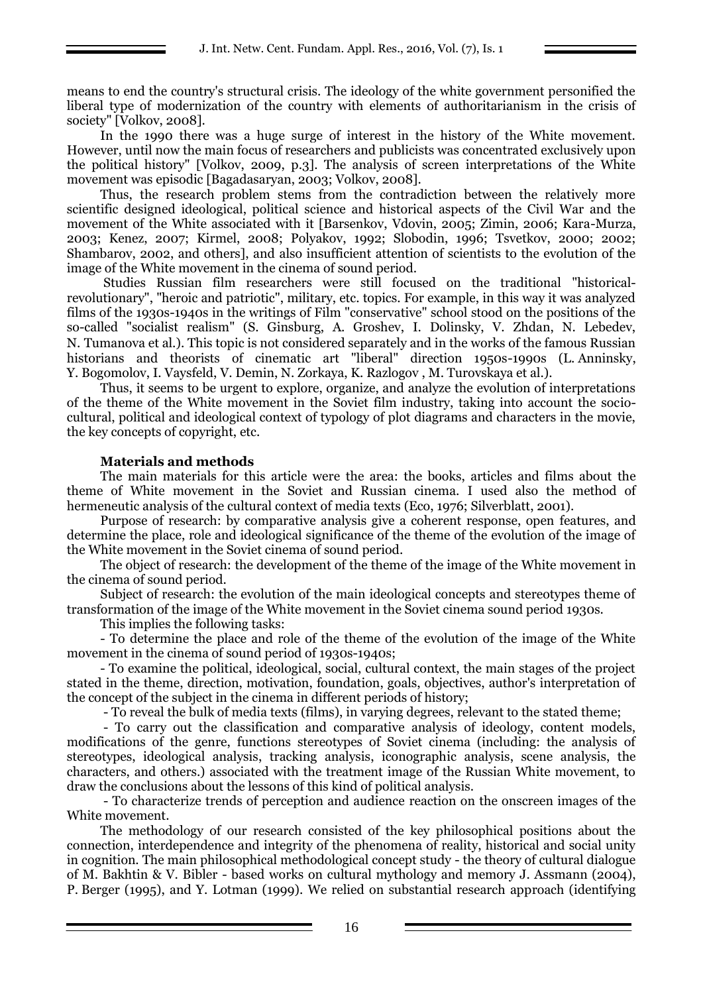means to end the country's structural crisis. The ideology of the white government personified the liberal type of modernization of the country with elements of authoritarianism in the crisis of society" [Volkov, 2008].

In the 1990 there was a huge surge of interest in the history of the White movement. However, until now the main focus of researchers and publicists was concentrated exclusively upon the political history" [Volkov, 2009, p.3]. The analysis of screen interpretations of the White movement was episodic [Bagadasaryan, 2003; Volkov, 2008].

Thus, the research problem stems from the contradiction between the relatively more scientific designed ideological, political science and historical aspects of the Civil War and the movement of the White associated with it [Barsenkov, Vdovin, 2005; Zimin, 2006; Kara-Murza, 2003; Kenez, 2007; Kirmel, 2008; Polyakov, 1992; Slobodin, 1996; Tsvetkov, 2000; 2002; Shambarov, 2002, and others], and also insufficient attention of scientists to the evolution of the image of the White movement in the cinema of sound period.

Studies Russian film researchers were still focused on the traditional "historicalrevolutionary", "heroic and patriotic", military, etc. topics. For example, in this way it was analyzed films of the 1930s-1940s in the writings of Film "conservative" school stood on the positions of the so-called "socialist realism" (S. Ginsburg, A. Groshev, I. Dolinsky, V. Zhdan, N. Lebedev, N. Tumanova et al.). This topic is not considered separately and in the works of the famous Russian historians and theorists of cinematic art "liberal" direction 1950s-1990s (L. Anninsky, Y. Bogomolov, I. Vaysfeld, V. Demin, N. Zorkaya, K. Razlogov , M. Turovskaya et al.).

Thus, it seems to be urgent to explore, organize, and analyze the evolution of interpretations of the theme of the White movement in the Soviet film industry, taking into account the sociocultural, political and ideological context of typology of plot diagrams and characters in the movie, the key concepts of copyright, etc.

### **Materials and methods**

The main materials for this article were the area: the books, articles and films about the theme of White movement in the Soviet and Russian cinema. I used also the method of hermeneutic analysis of the cultural context of media texts (Eco, 1976; Silverblatt, 2001).

Purpose of research: by comparative analysis give a coherent response, open features, and determine the place, role and ideological significance of the theme of the evolution of the image of the White movement in the Soviet cinema of sound period.

The object of research: the development of the theme of the image of the White movement in the cinema of sound period.

Subject of research: the evolution of the main ideological concepts and stereotypes theme of transformation of the image of the White movement in the Soviet cinema sound period 1930s.

This implies the following tasks:

- To determine the place and role of the theme of the evolution of the image of the White movement in the cinema of sound period of 1930s-1940s;

- To examine the political, ideological, social, cultural context, the main stages of the project stated in the theme, direction, motivation, foundation, goals, objectives, author's interpretation of the concept of the subject in the cinema in different periods of history;

- To reveal the bulk of media texts (films), in varying degrees, relevant to the stated theme;

- To carry out the classification and comparative analysis of ideology, content models, modifications of the genre, functions stereotypes of Soviet cinema (including: the analysis of stereotypes, ideological analysis, tracking analysis, iconographic analysis, scene analysis, the characters, and others.) associated with the treatment image of the Russian White movement, to draw the conclusions about the lessons of this kind of political analysis.

- To characterize trends of perception and audience reaction on the onscreen images of the White movement.

The methodology of our research consisted of the key philosophical positions about the connection, interdependence and integrity of the phenomena of reality, historical and social unity in cognition. The main philosophical methodological concept study - the theory of cultural dialogue of M. Bakhtin & V. Bibler - based works on cultural mythology and memory J. Assmann (2004), P. Berger (1995), and Y. Lotman (1999). We relied on substantial research approach (identifying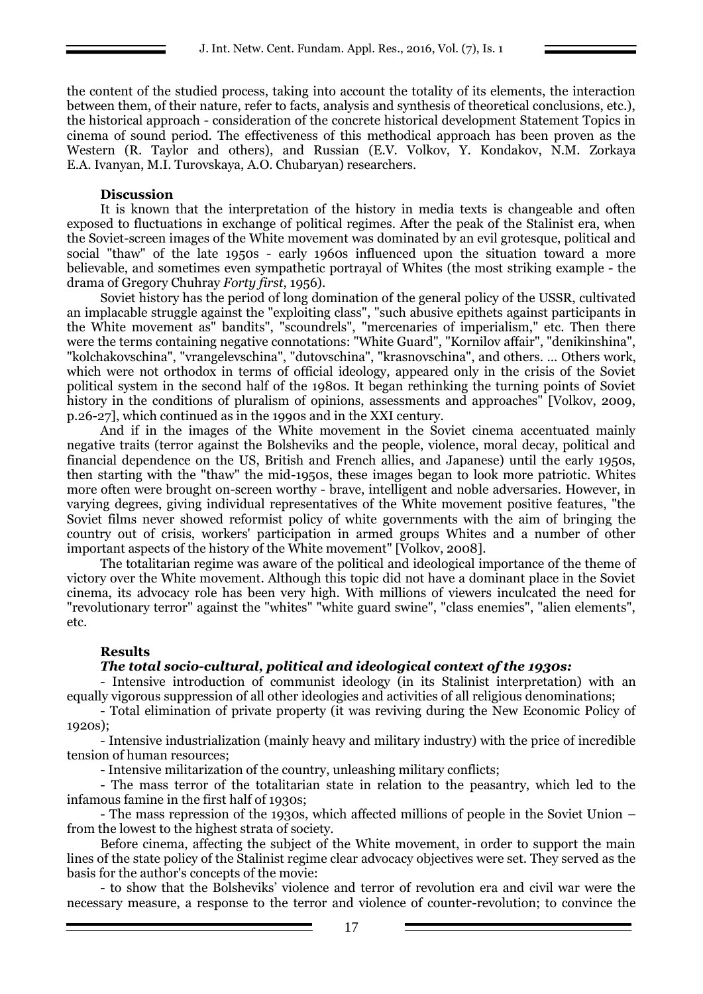the content of the studied process, taking into account the totality of its elements, the interaction between them, of their nature, refer to facts, analysis and synthesis of theoretical conclusions, etc.), the historical approach - consideration of the concrete historical development Statement Topics in cinema of sound period. The effectiveness of this methodical approach has been proven as the Western (R. Taylor and others), and Russian (E.V. Volkov, Y. Kondakov, N.M. Zorkaya E.A. Ivanyan, M.I. Turovskaya, A.O. Chubaryan) researchers.

#### **Discussion**

It is known that the interpretation of the history in media texts is changeable and often exposed to fluctuations in exchange of political regimes. After the peak of the Stalinist era, when the Soviet-screen images of the White movement was dominated by an evil grotesque, political and social "thaw" of the late 1950s - early 1960s influenced upon the situation toward a more believable, and sometimes even sympathetic portrayal of Whites (the most striking example - the drama of Gregory Chuhray *Forty first*, 1956).

Soviet history has the period of long domination of the general policy of the USSR, cultivated an implacable struggle against the "exploiting class", "such abusive epithets against participants in the White movement as" bandits", "scoundrels", "mercenaries of imperialism," etc. Then there were the terms containing negative connotations: "White Guard", "Kornilov affair", "denikinshina", "kolchakovschina", "vrangelevschina", "dutovschina", "krasnovschina", and others. ... Others work, which were not orthodox in terms of official ideology, appeared only in the crisis of the Soviet political system in the second half of the 1980s. It began rethinking the turning points of Soviet history in the conditions of pluralism of opinions, assessments and approaches" [Volkov, 2009, p.26-27], which continued as in the 1990s and in the XXI century.

And if in the images of the White movement in the Soviet cinema accentuated mainly negative traits (terror against the Bolsheviks and the people, violence, moral decay, political and financial dependence on the US, British and French allies, and Japanese) until the early 1950s, then starting with the "thaw" the mid-1950s, these images began to look more patriotic. Whites more often were brought on-screen worthy - brave, intelligent and noble adversaries. However, in varying degrees, giving individual representatives of the White movement positive features, "the Soviet films never showed reformist policy of white governments with the aim of bringing the country out of crisis, workers' participation in armed groups Whites and a number of other important aspects of the history of the White movement" [Volkov, 2008].

The totalitarian regime was aware of the political and ideological importance of the theme of victory over the White movement. Although this topic did not have a dominant place in the Soviet cinema, its advocacy role has been very high. With millions of viewers inculcated the need for "revolutionary terror" against the "whites" "white guard swine", "class enemies", "alien elements", etc.

### **Results**

### *The total socio-cultural, political and ideological context of the 1930s:*

- Intensive introduction of communist ideology (in its Stalinist interpretation) with an equally vigorous suppression of all other ideologies and activities of all religious denominations;

- Total elimination of private property (it was reviving during the New Economic Policy of 1920s);

- Intensive industrialization (mainly heavy and military industry) with the price of incredible tension of human resources;

- Intensive militarization of the country, unleashing military conflicts;

- The mass terror of the totalitarian state in relation to the peasantry, which led to the infamous famine in the first half of 1930s;

- The mass repression of the 1930s, which affected millions of people in the Soviet Union – from the lowest to the highest strata of society.

Before cinema, affecting the subject of the White movement, in order to support the main lines of the state policy of the Stalinist regime clear advocacy objectives were set. They served as the basis for the author's concepts of the movie:

- to show that the Bolsheviks' violence and terror of revolution era and civil war were the necessary measure, a response to the terror and violence of counter-revolution; to convince the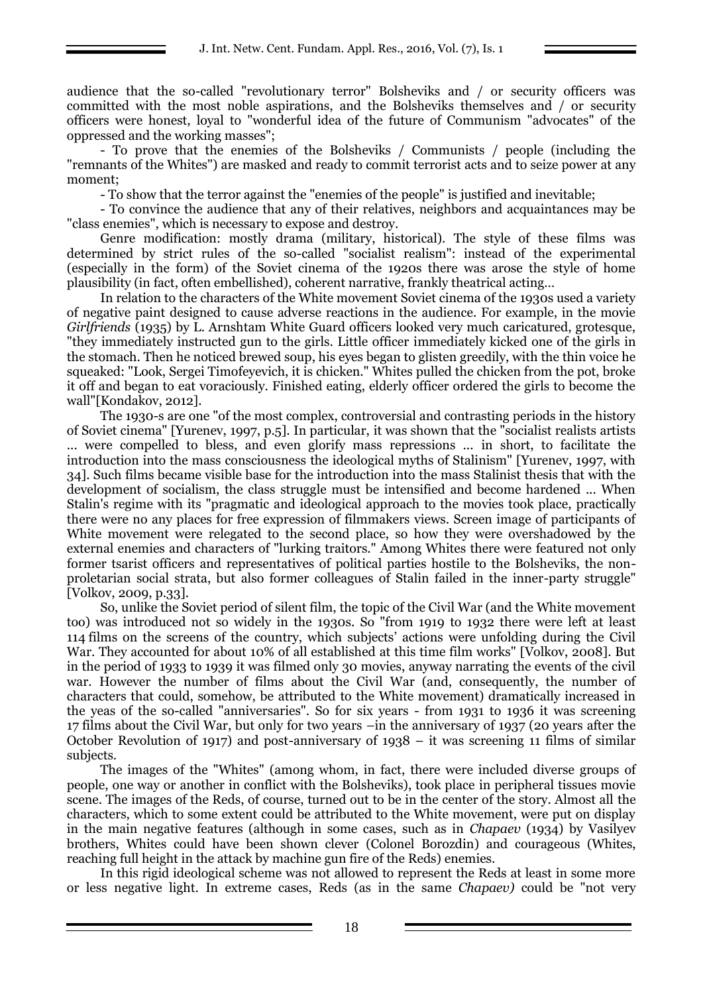audience that the so-called "revolutionary terror" Bolsheviks and / or security officers was committed with the most noble aspirations, and the Bolsheviks themselves and / or security officers were honest, loyal to "wonderful idea of the future of Communism "advocates" of the oppressed and the working masses";

- To prove that the enemies of the Bolsheviks / Communists / people (including the "remnants of the Whites") are masked and ready to commit terrorist acts and to seize power at any moment;

- To show that the terror against the "enemies of the people" is justified and inevitable;

- To convince the audience that any of their relatives, neighbors and acquaintances may be "class enemies", which is necessary to expose and destroy.

Genre modification: mostly drama (military, historical). The style of these films was determined by strict rules of the so-called "socialist realism": instead of the experimental (especially in the form) of the Soviet cinema of the 1920s there was arose the style of home plausibility (in fact, often embellished), coherent narrative, frankly theatrical acting…

In relation to the characters of the White movement Soviet cinema of the 1930s used a variety of negative paint designed to cause adverse reactions in the audience. For example, in the movie *Girlfriends* (1935) by L. Arnshtam White Guard officers looked very much caricatured, grotesque, "they immediately instructed gun to the girls. Little officer immediately kicked one of the girls in the stomach. Then he noticed brewed soup, his eyes began to glisten greedily, with the thin voice he squeaked: "Look, Sergei Timofeyevich, it is chicken." Whites pulled the chicken from the pot, broke it off and began to eat voraciously. Finished eating, elderly officer ordered the girls to become the wall"[Kondakov, 2012].

The 1930-s are one "of the most complex, controversial and contrasting periods in the history of Soviet cinema" [Yurenev, 1997, p.5]. In particular, it was shown that the "socialist realists artists ... were compelled to bless, and even glorify mass repressions ... in short, to facilitate the introduction into the mass consciousness the ideological myths of Stalinism" [Yurenev, 1997, with 34]. Such films became visible base for the introduction into the mass Stalinist thesis that with the development of socialism, the class struggle must be intensified and become hardened ... When Stalin's regime with its "pragmatic and ideological approach to the movies took place, practically there were no any places for free expression of filmmakers views. Screen image of participants of White movement were relegated to the second place, so how they were overshadowed by the external enemies and characters of "lurking traitors." Among Whites there were featured not only former tsarist officers and representatives of political parties hostile to the Bolsheviks, the nonproletarian social strata, but also former colleagues of Stalin failed in the inner-party struggle" [Volkov, 2009, p.33].

So, unlike the Soviet period of silent film, the topic of the Civil War (and the White movement too) was introduced not so widely in the 1930s. So "from 1919 to 1932 there were left at least 114 films on the screens of the country, which subjects' actions were unfolding during the Civil War. They accounted for about 10% of all established at this time film works" [Volkov, 2008]. But in the period of 1933 to 1939 it was filmed only 30 movies, anyway narrating the events of the civil war. However the number of films about the Civil War (and, consequently, the number of characters that could, somehow, be attributed to the White movement) dramatically increased in the yeas of the so-called "anniversaries". So for six years - from 1931 to 1936 it was screening 17 films about the Civil War, but only for two years –in the anniversary of 1937 (20 years after the October Revolution of 1917) and post-anniversary of 1938 – it was screening 11 films of similar subjects.

The images of the "Whites" (among whom, in fact, there were included diverse groups of people, one way or another in conflict with the Bolsheviks), took place in peripheral tissues movie scene. The images of the Reds, of course, turned out to be in the center of the story. Almost all the characters, which to some extent could be attributed to the White movement, were put on display in the main negative features (although in some cases, such as in *Chapaev* (1934) by Vasilyev brothers, Whites could have been shown clever (Colonel Borozdin) and courageous (Whites, reaching full height in the attack by machine gun fire of the Reds) enemies.

In this rigid ideological scheme was not allowed to represent the Reds at least in some more or less negative light. In extreme cases, Reds (as in the same *Chapaev)* could be "not very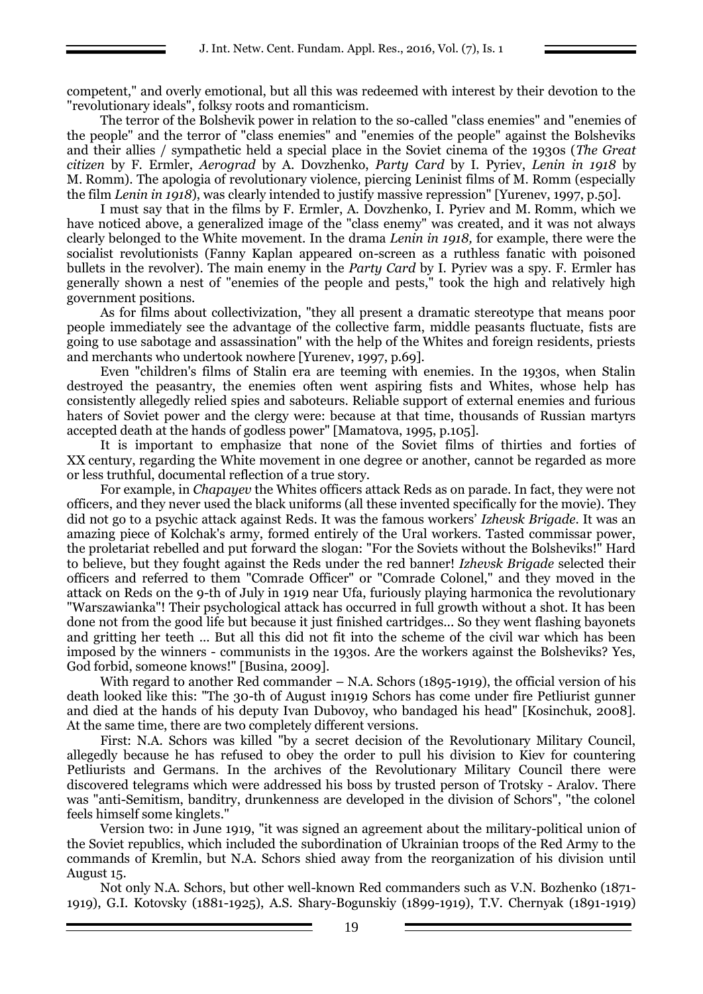competent," and overly emotional, but all this was redeemed with interest by their devotion to the "revolutionary ideals", folksy roots and romanticism.

The terror of the Bolshevik power in relation to the so-called "class enemies" and "enemies of the people" and the terror of "class enemies" and "enemies of the people" against the Bolsheviks and their allies / sympathetic held a special place in the Soviet cinema of the 1930s (*The Great citizen* by F. Ermler, *Aerograd* by A. Dovzhenko, *Party Card* by I. Pyriev, *Lenin in 1918* by M. Romm). The apologia of revolutionary violence, piercing Leninist films of M. Romm (especially the film *Lenin in 1918*), was clearly intended to justify massive repression" [Yurenev, 1997, p.50].

I must say that in the films by F. Ermler, A. Dovzhenko, I. Pyriev and M. Romm, which we have noticed above, a generalized image of the "class enemy" was created, and it was not always clearly belonged to the White movement. In the drama *Lenin in 1918,* for example, there were the socialist revolutionists (Fanny Kaplan appeared on-screen as a ruthless fanatic with poisoned bullets in the revolver). The main enemy in the *Party Card* by I. Pyriev was a spy. F. Ermler has generally shown a nest of "enemies of the people and pests," took the high and relatively high government positions.

As for films about collectivization, "they all present a dramatic stereotype that means poor people immediately see the advantage of the collective farm, middle peasants fluctuate, fists are going to use sabotage and assassination" with the help of the Whites and foreign residents, priests and merchants who undertook nowhere [Yurenev, 1997, p.69].

Even "children's films of Stalin era are teeming with enemies. In the 1930s, when Stalin destroyed the peasantry, the enemies often went aspiring fists and Whites, whose help has consistently allegedly relied spies and saboteurs. Reliable support of external enemies and furious haters of Soviet power and the clergy were: because at that time, thousands of Russian martyrs accepted death at the hands of godless power" [Mamatova, 1995, p.105].

It is important to emphasize that none of the Soviet films of thirties and forties of XX century, regarding the White movement in one degree or another, cannot be regarded as more or less truthful, documental reflection of a true story.

For example, in *Chapayev* the Whites officers attack Reds as on parade. In fact, they were not officers, and they never used the black uniforms (all these invented specifically for the movie). They did not go to a psychic attack against Reds. It was the famous workers' *Izhevsk Brigade*. It was an amazing piece of Kolchak's army, formed entirely of the Ural workers. Tasted commissar power, the proletariat rebelled and put forward the slogan: "For the Soviets without the Bolsheviks!" Hard to believe, but they fought against the Reds under the red banner! *Izhevsk Brigade* selected their officers and referred to them "Comrade Officer" or "Comrade Colonel," and they moved in the attack on Reds on the 9-th of July in 1919 near Ufa, furiously playing harmonica the revolutionary "Warszawianka"! Their psychological attack has occurred in full growth without a shot. It has been done not from the good life but because it just finished cartridges... So they went flashing bayonets and gritting her teeth ... But all this did not fit into the scheme of the civil war which has been imposed by the winners - communists in the 1930s. Are the workers against the Bolsheviks? Yes, God forbid, someone knows!" [Busina, 2009].

With regard to another Red commander  $-$  N.A. Schors (1895-1919), the official version of his death looked like this: "The 30-th of August in1919 Schors has come under fire Petliurist gunner and died at the hands of his deputy Ivan Dubovoy, who bandaged his head" [Kosinchuk, 2008]. At the same time, there are two completely different versions.

First: N.A. Schors was killed "by a secret decision of the Revolutionary Military Council, allegedly because he has refused to obey the order to pull his division to Kiev for countering Petliurists and Germans. In the archives of the Revolutionary Military Council there were discovered telegrams which were addressed his boss by trusted person of Trotsky - Aralov. There was "anti-Semitism, banditry, drunkenness are developed in the division of Schors", "the colonel feels himself some kinglets."

Version two: in June 1919, "it was signed an agreement about the military-political union of the Soviet republics, which included the subordination of Ukrainian troops of the Red Army to the commands of Kremlin, but N.A. Schors shied away from the reorganization of his division until August 15.

Not only N.A. Schors, but other well-known Red commanders such as V.N. Bozhenko (1871- 1919), G.I. Kotovsky (1881-1925), A.S. Shary-Bogunskiy (1899-1919), T.V. Chernyak (1891-1919)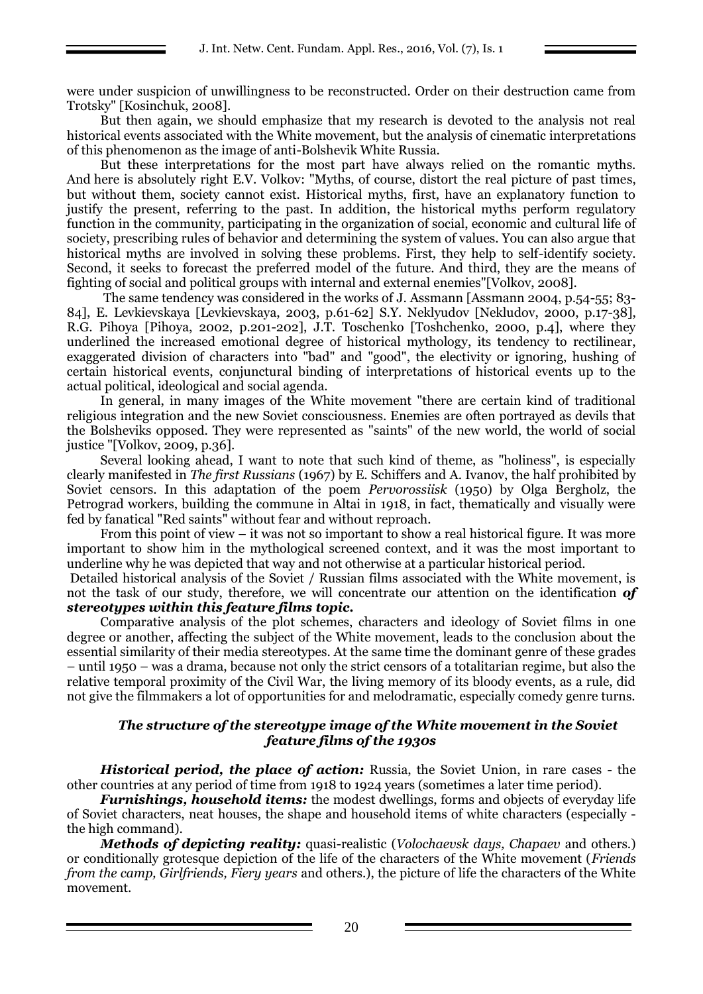were under suspicion of unwillingness to be reconstructed. Order on their destruction came from Trotsky" [Kosinchuk, 2008].

But then again, we should emphasize that my research is devoted to the analysis not real historical events associated with the White movement, but the analysis of cinematic interpretations of this phenomenon as the image of anti-Bolshevik White Russia.

But these interpretations for the most part have always relied on the romantic myths. And here is absolutely right E.V. Volkov: "Myths, of course, distort the real picture of past times, but without them, society cannot exist. Historical myths, first, have an explanatory function to justify the present, referring to the past. In addition, the historical myths perform regulatory function in the community, participating in the organization of social, economic and cultural life of society, prescribing rules of behavior and determining the system of values. You can also argue that historical myths are involved in solving these problems. First, they help to self-identify society. Second, it seeks to forecast the preferred model of the future. And third, they are the means of fighting of social and political groups with internal and external enemies"[Volkov, 2008].

The same tendency was considered in the works of J. Assmann [Assmann 2004, p.54-55; 83- 84], E. Levkievskaya [Levkievskaya, 2003, p.61-62] S.Y. Neklyudov [Nekludov, 2000, p.17-38], R.G. Pihoya [Pihoya, 2002, p.201-202], J.T. Toschenko [Toshchenko, 2000, p.4], where they underlined the increased emotional degree of historical mythology, its tendency to rectilinear, exaggerated division of characters into "bad" and "good", the electivity or ignoring, hushing of certain historical events, conjunctural binding of interpretations of historical events up to the actual political, ideological and social agenda.

In general, in many images of the White movement "there are certain kind of traditional religious integration and the new Soviet consciousness. Enemies are often portrayed as devils that the Bolsheviks opposed. They were represented as "saints" of the new world, the world of social justice "[Volkov, 2009, p.36].

Several looking ahead, I want to note that such kind of theme, as "holiness", is especially clearly manifested in *The first Russians* (1967) by E. Schiffers and A. Ivanov, the half prohibited by Soviet censors. In this adaptation of the poem *Pervorossiisk* (1950) by Olga Bergholz, the Petrograd workers, building the commune in Altai in 1918, in fact, thematically and visually were fed by fanatical "Red saints" without fear and without reproach.

From this point of view – it was not so important to show a real historical figure. It was more important to show him in the mythological screened context, and it was the most important to underline why he was depicted that way and not otherwise at a particular historical period.

Detailed historical analysis of the Soviet / Russian films associated with the White movement, is not the task of our study, therefore, we will concentrate our attention on the identification *of stereotypes within this feature films topic.*

Comparative analysis of the plot schemes, characters and ideology of Soviet films in one degree or another, affecting the subject of the White movement, leads to the conclusion about the essential similarity of their media stereotypes. At the same time the dominant genre of these grades – until 1950 – was a drama, because not only the strict censors of a totalitarian regime, but also the relative temporal proximity of the Civil War, the living memory of its bloody events, as a rule, did not give the filmmakers a lot of opportunities for and melodramatic, especially comedy genre turns.

### *The structure of the stereotype image of the White movement in the Soviet feature films of the 1930s*

*Historical period, the place of action:* Russia, the Soviet Union, in rare cases - the other countries at any period of time from 1918 to 1924 years (sometimes a later time period).

*Furnishings, household items:* the modest dwellings, forms and objects of everyday life of Soviet characters, neat houses, the shape and household items of white characters (especially the high command).

*Methods of depicting reality:* quasi-realistic (*Volochaevsk days, Chapaev* and others.) or conditionally grotesque depiction of the life of the characters of the White movement (*Friends from the camp, Girlfriends, Fiery years* and others.), the picture of life the characters of the White movement.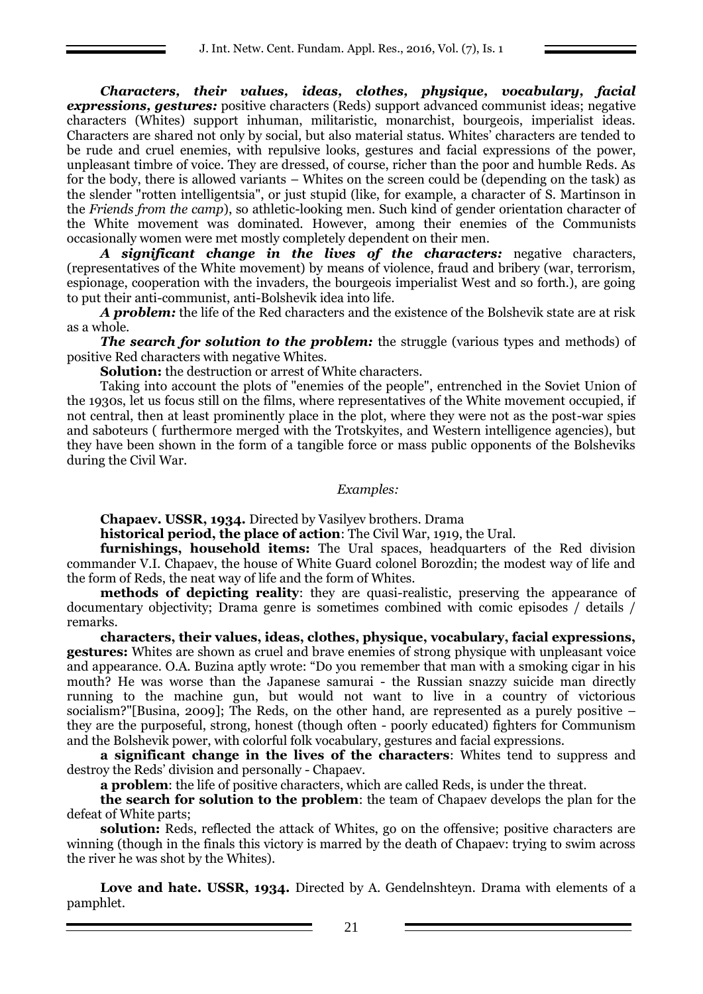*Characters, their values, ideas, clothes, physique, vocabulary, facial expressions, gestures:* positive characters (Reds) support advanced communist ideas; negative characters (Whites) support inhuman, militaristic, monarchist, bourgeois, imperialist ideas. Characters are shared not only by social, but also material status. Whites' characters are tended to be rude and cruel enemies, with repulsive looks, gestures and facial expressions of the power, unpleasant timbre of voice. They are dressed, of course, richer than the poor and humble Reds. As for the body, there is allowed variants – Whites on the screen could be (depending on the task) as the slender "rotten intelligentsia", or just stupid (like, for example, a character of S. Martinson in the *Friends from the camp*), so athletic-looking men. Such kind of gender orientation character of the White movement was dominated. However, among their enemies of the Communists occasionally women were met mostly completely dependent on their men.

*A significant change in the lives of the characters:* negative characters, (representatives of the White movement) by means of violence, fraud and bribery (war, terrorism, espionage, cooperation with the invaders, the bourgeois imperialist West and so forth.), are going to put their anti-communist, anti-Bolshevik idea into life.

*A problem:* the life of the Red characters and the existence of the Bolshevik state are at risk as a whole.

*The search for solution to the problem:* the struggle (various types and methods) of positive Red characters with negative Whites.

**Solution:** the destruction or arrest of White characters.

Taking into account the plots of "enemies of the people", entrenched in the Soviet Union of the 1930s, let us focus still on the films, where representatives of the White movement occupied, if not central, then at least prominently place in the plot, where they were not as the post-war spies and saboteurs ( furthermore merged with the Trotskyites, and Western intelligence agencies), but they have been shown in the form of a tangible force or mass public opponents of the Bolsheviks during the Civil War.

*Examples:*

**Chapaev. USSR, 1934.** Directed by Vasilyev brothers. Drama

**historical period, the place of action**: The Civil War, 1919, the Ural.

**furnishings, household items:** The Ural spaces, headquarters of the Red division commander V.I. Chapaev, the house of White Guard colonel Borozdin; the modest way of life and the form of Reds, the neat way of life and the form of Whites.

**methods of depicting reality**: they are quasi-realistic, preserving the appearance of documentary objectivity; Drama genre is sometimes combined with comic episodes / details / remarks.

**characters, their values, ideas, clothes, physique, vocabulary, facial expressions, gestures:** Whites are shown as cruel and brave enemies of strong physique with unpleasant voice and appearance. O.A. Buzina aptly wrote: "Do you remember that man with a smoking cigar in his mouth? He was worse than the Japanese samurai - the Russian snazzy suicide man directly running to the machine gun, but would not want to live in a country of victorious socialism?"[Busina, 2009]; The Reds, on the other hand, are represented as a purely positive – they are the purposeful, strong, honest (though often - poorly educated) fighters for Communism and the Bolshevik power, with colorful folk vocabulary, gestures and facial expressions.

**a significant change in the lives of the characters**: Whites tend to suppress and destroy the Reds' division and personally - Chapaev.

**a problem**: the life of positive characters, which are called Reds, is under the threat.

**the search for solution to the problem**: the team of Chapaev develops the plan for the defeat of White parts;

**solution:** Reds, reflected the attack of Whites, go on the offensive; positive characters are winning (though in the finals this victory is marred by the death of Chapaev: trying to swim across the river he was shot by the Whites).

**Love and hate. USSR, 1934.** Directed by A. Gendelnshteyn. Drama with elements of a pamphlet.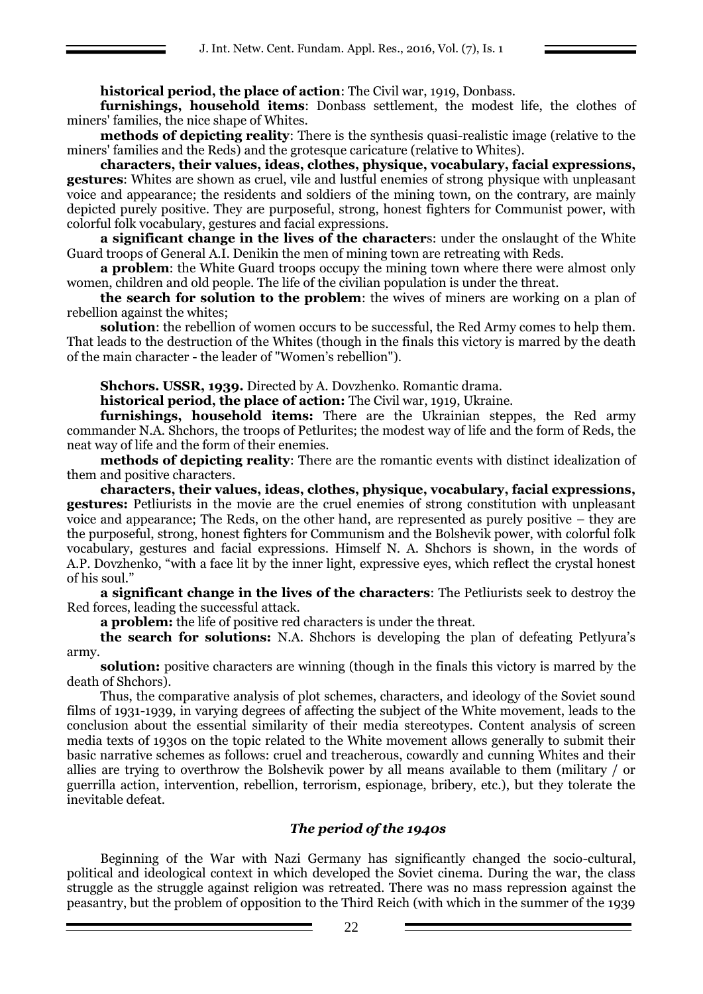# **historical period, the place of action**: The Civil war, 1919, Donbass.

**furnishings, household items**: Donbass settlement, the modest life, the clothes of miners' families, the nice shape of Whites.

**methods of depicting reality**: There is the synthesis quasi-realistic image (relative to the miners' families and the Reds) and the grotesque caricature (relative to Whites).

**characters, their values, ideas, clothes, physique, vocabulary, facial expressions, gestures**: Whites are shown as cruel, vile and lustful enemies of strong physique with unpleasant voice and appearance; the residents and soldiers of the mining town, on the contrary, are mainly depicted purely positive. They are purposeful, strong, honest fighters for Communist power, with colorful folk vocabulary, gestures and facial expressions.

**a significant change in the lives of the character**s: under the onslaught of the White Guard troops of General A.I. Denikin the men of mining town are retreating with Reds.

**a problem**: the White Guard troops occupy the mining town where there were almost only women, children and old people. The life of the civilian population is under the threat.

**the search for solution to the problem**: the wives of miners are working on a plan of rebellion against the whites;

**solution**: the rebellion of women occurs to be successful, the Red Army comes to help them. That leads to the destruction of the Whites (though in the finals this victory is marred by the death of the main character - the leader of "Women's rebellion").

**Shchors. USSR, 1939.** Directed by A. Dovzhenko. Romantic drama.

**historical period, the place of action:** The Civil war, 1919, Ukraine.

**furnishings, household items:** There are the Ukrainian steppes, the Red army commander N.A. Shchors, the troops of Petlurites; the modest way of life and the form of Reds, the neat way of life and the form of their enemies.

**methods of depicting reality**: There are the romantic events with distinct idealization of them and positive characters.

**characters, their values, ideas, clothes, physique, vocabulary, facial expressions, gestures:** Petliurists in the movie are the cruel enemies of strong constitution with unpleasant voice and appearance; The Reds, on the other hand, are represented as purely positive – they are the purposeful, strong, honest fighters for Communism and the Bolshevik power, with colorful folk vocabulary, gestures and facial expressions. Himself N. A. Shchors is shown, in the words of A.P. Dovzhenko, "with a face lit by the inner light, expressive eyes, which reflect the crystal honest of his soul."

**a significant change in the lives of the characters**: The Petliurists seek to destroy the Red forces, leading the successful attack.

**a problem:** the life of positive red characters is under the threat.

**the search for solutions:** N.A. Shchors is developing the plan of defeating Petlyura's army.

**solution:** positive characters are winning (though in the finals this victory is marred by the death of Shchors).

Thus, the comparative analysis of plot schemes, characters, and ideology of the Soviet sound films of 1931-1939, in varying degrees of affecting the subject of the White movement, leads to the conclusion about the essential similarity of their media stereotypes. Content analysis of screen media texts of 1930s on the topic related to the White movement allows generally to submit their basic narrative schemes as follows: cruel and treacherous, cowardly and cunning Whites and their allies are trying to overthrow the Bolshevik power by all means available to them (military / or guerrilla action, intervention, rebellion, terrorism, espionage, bribery, etc.), but they tolerate the inevitable defeat.

### *The period of the 1940s*

Beginning of the War with Nazi Germany has significantly changed the socio-cultural, political and ideological context in which developed the Soviet cinema. During the war, the class struggle as the struggle against religion was retreated. There was no mass repression against the peasantry, but the problem of opposition to the Third Reich (with which in the summer of the 1939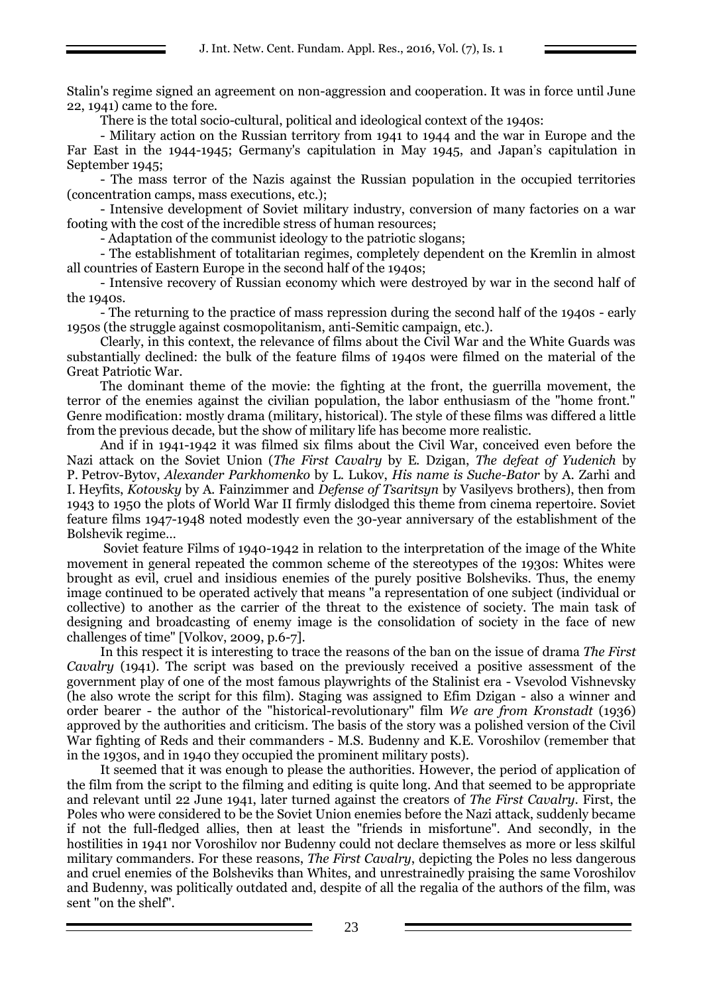Stalin's regime signed an agreement on non-aggression and cooperation. It was in force until June 22, 1941) came to the fore.

There is the total socio-cultural, political and ideological context of the 1940s:

- Military action on the Russian territory from 1941 to 1944 and the war in Europe and the Far East in the 1944-1945; Germany's capitulation in May 1945, and Japan's capitulation in September 1945;

- The mass terror of the Nazis against the Russian population in the occupied territories (concentration camps, mass executions, etc.);

- Intensive development of Soviet military industry, conversion of many factories on a war footing with the cost of the incredible stress of human resources;

- Adaptation of the communist ideology to the patriotic slogans;

- The establishment of totalitarian regimes, completely dependent on the Kremlin in almost all countries of Eastern Europe in the second half of the 1940s;

- Intensive recovery of Russian economy which were destroyed by war in the second half of the 1940s.

- The returning to the practice of mass repression during the second half of the 1940s - early 1950s (the struggle against cosmopolitanism, anti-Semitic campaign, etc.).

Clearly, in this context, the relevance of films about the Civil War and the White Guards was substantially declined: the bulk of the feature films of 1940s were filmed on the material of the Great Patriotic War.

The dominant theme of the movie: the fighting at the front, the guerrilla movement, the terror of the enemies against the civilian population, the labor enthusiasm of the "home front." Genre modification: mostly drama (military, historical). The style of these films was differed a little from the previous decade, but the show of military life has become more realistic.

And if in 1941-1942 it was filmed six films about the Civil War, conceived even before the Nazi attack on the Soviet Union (*The First Cavalry* by E. Dzigan, *The defeat of Yudenich* by P. Petrov-Bytov, *Alexander Parkhomenko* by L. Lukov, *His name is Suche-Bator* by A. Zarhi and I. Heyfits, *Kotovsky* by A. Fainzimmer and *Defense of Tsaritsyn* by Vasilyevs brothers), then from 1943 to 1950 the plots of World War II firmly dislodged this theme from cinema repertoire. Soviet feature films 1947-1948 noted modestly even the 30-year anniversary of the establishment of the Bolshevik regime…

Soviet feature Films of 1940-1942 in relation to the interpretation of the image of the White movement in general repeated the common scheme of the stereotypes of the 1930s: Whites were brought as evil, cruel and insidious enemies of the purely positive Bolsheviks. Thus, the enemy image continued to be operated actively that means "a representation of one subject (individual or collective) to another as the carrier of the threat to the existence of society. The main task of designing and broadcasting of enemy image is the consolidation of society in the face of new challenges of time" [Volkov, 2009, p.6-7].

In this respect it is interesting to trace the reasons of the ban on the issue of drama *The First Cavalry* (1941). The script was based on the previously received a positive assessment of the government play of one of the most famous playwrights of the Stalinist era - Vsevolod Vishnevsky (he also wrote the script for this film). Staging was assigned to Efim Dzigan - also a winner and order bearer - the author of the "historical-revolutionary" film *We are from Kronstadt* (1936) approved by the authorities and criticism. The basis of the story was a polished version of the Civil War fighting of Reds and their commanders - M.S. Budenny and K.E. Voroshilov (remember that in the 1930s, and in 1940 they occupied the prominent military posts).

It seemed that it was enough to please the authorities. However, the period of application of the film from the script to the filming and editing is quite long. And that seemed to be appropriate and relevant until 22 June 1941, later turned against the creators of *The First Cavalry*. First, the Poles who were considered to be the Soviet Union enemies before the Nazi attack, suddenly became if not the full-fledged allies, then at least the "friends in misfortune". And secondly, in the hostilities in 1941 nor Voroshilov nor Budenny could not declare themselves as more or less skilful military commanders. For these reasons, *The First Cavalry*, depicting the Poles no less dangerous and cruel enemies of the Bolsheviks than Whites, and unrestrainedly praising the same Voroshilov and Budenny, was politically outdated and, despite of all the regalia of the authors of the film, was sent "on the shelf".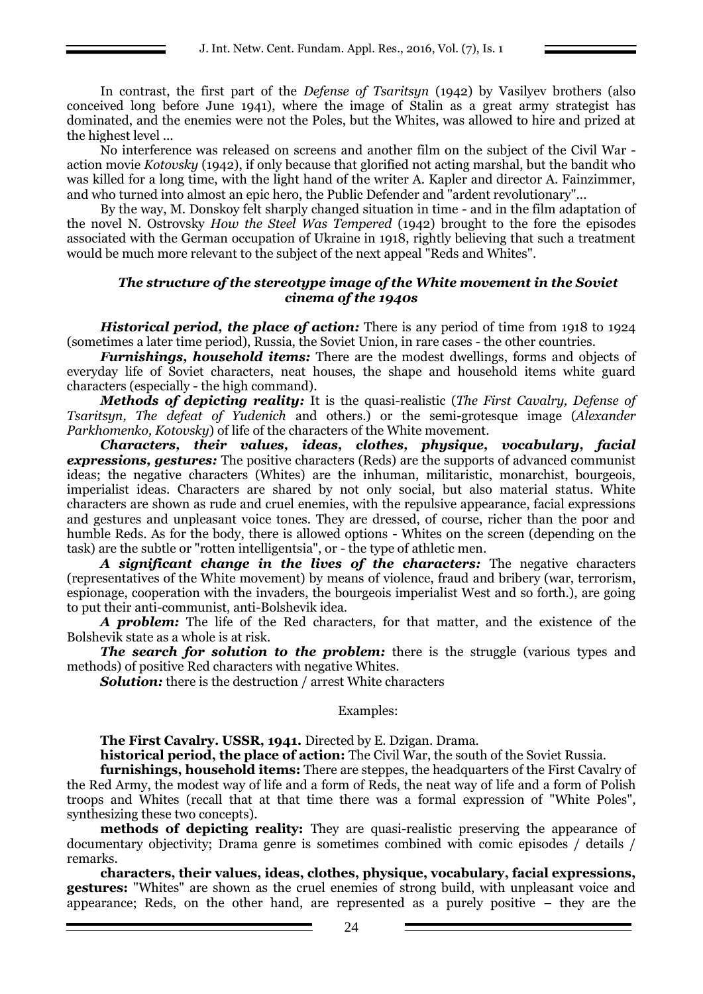In contrast, the first part of the *Defense of Tsaritsyn* (1942) by Vasilyev brothers (also conceived long before June 1941), where the image of Stalin as a great army strategist has dominated, and the enemies were not the Poles, but the Whites, was allowed to hire and prized at the highest level ...

No interference was released on screens and another film on the subject of the Civil War action movie *Kotovsky* (1942), if only because that glorified not acting marshal, but the bandit who was killed for a long time, with the light hand of the writer A. Kapler and director A. Fainzimmer, and who turned into almost an epic hero, the Public Defender and "ardent revolutionary"...

By the way, M. Donskoy felt sharply changed situation in time - and in the film adaptation of the novel N. Ostrovsky *How the Steel Was Tempered* (1942) brought to the fore the episodes associated with the German occupation of Ukraine in 1918, rightly believing that such a treatment would be much more relevant to the subject of the next appeal "Reds and Whites".

#### *The structure of the stereotype image of the White movement in the Soviet cinema of the 1940s*

*Historical period, the place of action:* There is any period of time from 1918 to 1924 (sometimes a later time period), Russia, the Soviet Union, in rare cases - the other countries.

*Furnishings, household items:* There are the modest dwellings, forms and objects of everyday life of Soviet characters, neat houses, the shape and household items white guard characters (especially - the high command).

*Methods of depicting reality:* It is the quasi-realistic (*The First Cavalry, Defense of Tsaritsyn, The defeat of Yudenich* and others.) or the semi-grotesque image (*Alexander Parkhomenko, Kotovsky*) of life of the characters of the White movement.

*Characters, their values, ideas, clothes, physique, vocabulary, facial expressions, gestures:* The positive characters (Reds) are the supports of advanced communist ideas; the negative characters (Whites) are the inhuman, militaristic, monarchist, bourgeois, imperialist ideas. Characters are shared by not only social, but also material status. White characters are shown as rude and cruel enemies, with the repulsive appearance, facial expressions and gestures and unpleasant voice tones. They are dressed, of course, richer than the poor and humble Reds. As for the body, there is allowed options - Whites on the screen (depending on the task) are the subtle or "rotten intelligentsia", or - the type of athletic men.

*A significant change in the lives of the characters:* The negative characters (representatives of the White movement) by means of violence, fraud and bribery (war, terrorism, espionage, cooperation with the invaders, the bourgeois imperialist West and so forth.), are going to put their anti-communist, anti-Bolshevik idea.

*A problem:* The life of the Red characters, for that matter, and the existence of the Bolshevik state as a whole is at risk.

**The search for solution to the problem:** there is the struggle (various types and methods) of positive Red characters with negative Whites.

*Solution:* there is the destruction / arrest White characters

#### Examples:

**The First Cavalry. USSR, 1941.** Directed by E. Dzigan. Drama.

**historical period, the place of action:** The Civil War, the south of the Soviet Russia.

**furnishings, household items:** There are steppes, the headquarters of the First Cavalry of the Red Army, the modest way of life and a form of Reds, the neat way of life and a form of Polish troops and Whites (recall that at that time there was a formal expression of "White Poles", synthesizing these two concepts).

**methods of depicting reality:** They are quasi-realistic preserving the appearance of documentary objectivity; Drama genre is sometimes combined with comic episodes / details / remarks.

**characters, their values, ideas, clothes, physique, vocabulary, facial expressions, gestures:** "Whites" are shown as the cruel enemies of strong build, with unpleasant voice and appearance; Reds, on the other hand, are represented as a purely positive – they are the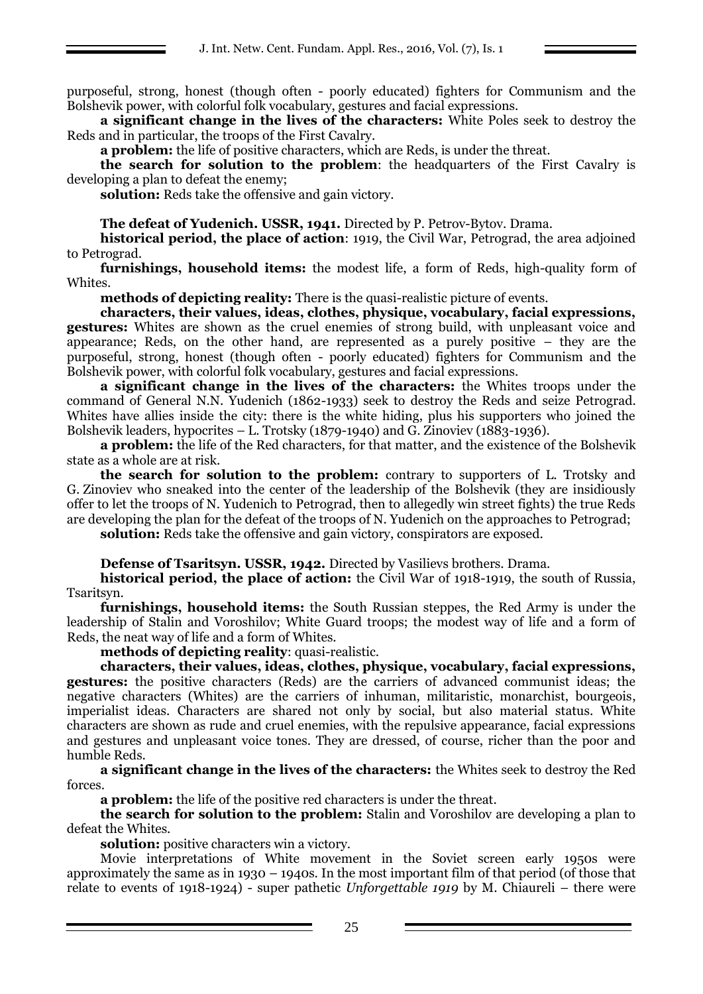purposeful, strong, honest (though often - poorly educated) fighters for Communism and the Bolshevik power, with colorful folk vocabulary, gestures and facial expressions.

**a significant change in the lives of the characters:** White Poles seek to destroy the Reds and in particular, the troops of the First Cavalry.

**a problem:** the life of positive characters, which are Reds, is under the threat.

**the search for solution to the problem**: the headquarters of the First Cavalry is developing a plan to defeat the enemy;

**solution:** Reds take the offensive and gain victory.

**The defeat of Yudenich. USSR, 1941.** Directed by P. Petrov-Bytov. Drama.

**historical period, the place of action**: 1919, the Civil War, Petrograd, the area adjoined to Petrograd.

**furnishings, household items:** the modest life, a form of Reds, high-quality form of Whites.

**methods of depicting reality:** There is the quasi-realistic picture of events.

**characters, their values, ideas, clothes, physique, vocabulary, facial expressions, gestures:** Whites are shown as the cruel enemies of strong build, with unpleasant voice and appearance; Reds, on the other hand, are represented as a purely positive – they are the purposeful, strong, honest (though often - poorly educated) fighters for Communism and the Bolshevik power, with colorful folk vocabulary, gestures and facial expressions.

**a significant change in the lives of the characters:** the Whites troops under the command of General N.N. Yudenich (1862-1933) seek to destroy the Reds and seize Petrograd. Whites have allies inside the city: there is the white hiding, plus his supporters who joined the Bolshevik leaders, hypocrites – L. Trotsky (1879-1940) and G. Zinoviev (1883-1936).

**a problem:** the life of the Red characters, for that matter, and the existence of the Bolshevik state as a whole are at risk.

**the search for solution to the problem:** contrary to supporters of L. Trotsky and G. Zinoviev who sneaked into the center of the leadership of the Bolshevik (they are insidiously offer to let the troops of N. Yudenich to Petrograd, then to allegedly win street fights) the true Reds are developing the plan for the defeat of the troops of N. Yudenich on the approaches to Petrograd;

**solution:** Reds take the offensive and gain victory, conspirators are exposed.

**Defense of Tsaritsyn. USSR, 1942.** Directed by Vasilievs brothers. Drama.

**historical period, the place of action:** the Civil War of 1918-1919, the south of Russia, Tsaritsyn.

**furnishings, household items:** the South Russian steppes, the Red Army is under the leadership of Stalin and Voroshilov; White Guard troops; the modest way of life and a form of Reds, the neat way of life and a form of Whites.

**methods of depicting reality**: quasi-realistic.

**characters, their values, ideas, clothes, physique, vocabulary, facial expressions, gestures:** the positive characters (Reds) are the carriers of advanced communist ideas; the negative characters (Whites) are the carriers of inhuman, militaristic, monarchist, bourgeois, imperialist ideas. Characters are shared not only by social, but also material status. White characters are shown as rude and cruel enemies, with the repulsive appearance, facial expressions and gestures and unpleasant voice tones. They are dressed, of course, richer than the poor and humble Reds.

**a significant change in the lives of the characters:** the Whites seek to destroy the Red forces.

**a problem:** the life of the positive red characters is under the threat.

**the search for solution to the problem:** Stalin and Voroshilov are developing a plan to defeat the Whites.

**solution:** positive characters win a victory.

Movie interpretations of White movement in the Soviet screen early 1950s were approximately the same as in 1930 – 1940s. In the most important film of that period (of those that relate to events of 1918-1924) - super pathetic *Unforgettable 1919* by M. Chiaureli – there were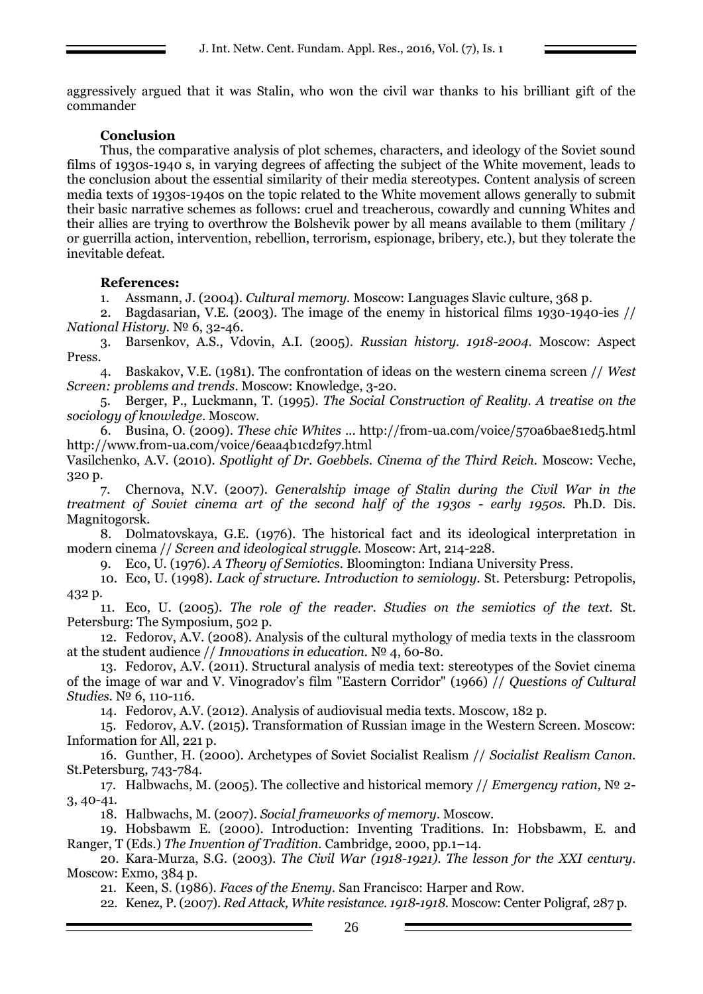aggressively argued that it was Stalin, who won the civil war thanks to his brilliant gift of the commander

# **Conclusion**

Thus, the comparative analysis of plot schemes, characters, and ideology of the Soviet sound films of 1930s-1940 s, in varying degrees of affecting the subject of the White movement, leads to the conclusion about the essential similarity of their media stereotypes. Content analysis of screen media texts of 1930s-1940s on the topic related to the White movement allows generally to submit their basic narrative schemes as follows: cruel and treacherous, cowardly and cunning Whites and their allies are trying to overthrow the Bolshevik power by all means available to them (military / or guerrilla action, intervention, rebellion, terrorism, espionage, bribery, etc.), but they tolerate the inevitable defeat.

# **References:**

1. Assmann, J. (2004). *Cultural memory.* Moscow: Languages Slavic culture, 368 p.

2. Bagdasarian, V.E. (2003). The image of the enemy in historical films 1930-1940-ies // *National History.* № 6, 32-46.

3. Barsenkov, A.S., Vdovin, A.I. (2005). *Russian history. 1918-2004.* Moscow: Aspect Press.

4. Baskakov, V.E. (1981). The confrontation of ideas on the western cinema screen // *West Screen: problems and trends*. Moscow: Knowledge, 3-20.

5. Berger, P., Luckmann, T. (1995). *The Social Construction of Reality. A treatise on the sociology of knowledge*. Moscow.

6. Busina, O. (2009). *These chic Whites* ... http://from-ua.com/voice/570a6bae81ed5.html http://www.from-ua.com/voice/6eaa4b1cd2f97.html

Vasilchenko, A.V. (2010). *Spotlight of Dr. Goebbels. Cinema of the Third Reich.* Moscow: Veche, 320 p.

7. Chernova, N.V. (2007). *Generalship image of Stalin during the Civil War in the treatment of Soviet cinema art of the second half of the 1930s - early 1950s.* Ph.D. Dis. Magnitogorsk.

8. Dolmatovskaya, G.E. (1976). The historical fact and its ideological interpretation in modern cinema // *Screen and ideological struggle.* Moscow: Art, 214-228.

9. Eco, U. (1976). *A Theory of Semiotics.* Bloomington: Indiana University Press.

10. Eco, U. (1998). *Lack of structure. Introduction to semiology.* St. Petersburg: Petropolis, 432 p.

11. Eco, U. (2005). *The role of the reader. Studies on the semiotics of the text.* St. Petersburg: The Symposium, 502 p.

12. Fedorov, A.V. (2008). Analysis of the cultural mythology of media texts in the classroom at the student audience // *Innovations in education.* № 4, 60-80.

13. Fedorov, A.V. (2011). Structural analysis of media text: stereotypes of the Soviet cinema of the image of war and V. Vinogradov's film "Eastern Corridor" (1966) // *Questions of Cultural Studies.* № 6, 110-116.

14. Fedorov, A.V. (2012). Analysis of audiovisual media texts. Moscow, 182 p.

15. Fedorov, A.V. (2015). Transformation of Russian image in the Western Screen. Moscow: Information for All, 221 p.

16. Gunther, H. (2000). Archetypes of Soviet Socialist Realism // *Socialist Realism Canon.* St.Petersburg, 743-784.

17. Halbwachs, M. (2005). The collective and historical memory // *Emergency ration,* № 2- 3, 40-41.

18. Halbwachs, M. (2007). *Social frameworks of memory*. Moscow.

19. Hobsbawm E. (2000). Introduction: Inventing Traditions. In: Hobsbawm, E. and Ranger, T (Eds.) *The Invention of Tradition.* Cambridge, 2000, pp.1–14.

20. Kara-Murza, S.G. (2003). *The Civil War (1918-1921). The lesson for the XXI century.* Moscow: Exmo, 384 p.

21. Keen, S. (1986). *Faces of the Enemy.* San Francisco: Harper and Row.

22. Kenez, P. (2007). *Red Attack, White resistance. 1918-1918.* Moscow: Center Poligraf, 287 p.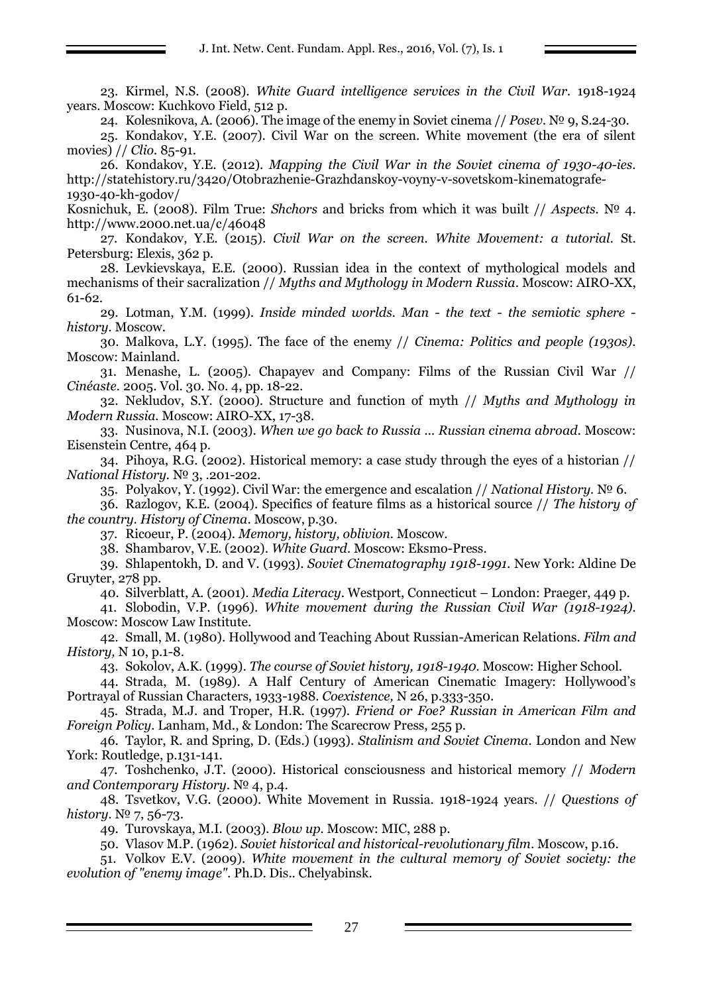23. Kirmel, N.S. (2008). *White Guard intelligence services in the Civil War.* 1918-1924 years. Moscow: Kuchkovo Field, 512 p.

24. Kolesnikova, A. (2006). The image of the enemy in Soviet cinema // *Posev.* № 9, S.24-30.

25. Kondakov, Y.E. (2007). Civil War on the screen. White movement (the era of silent movies) // *Clio.* 85-91.

26. Kondakov, Y.E. (2012). *Mapping the Civil War in the Soviet cinema of 1930-40-ies.* http://statehistory.ru/3420/Otobrazhenie-Grazhdanskoy-voyny-v-sovetskom-kinematografe-1930-40-kh-godov/

Kosnichuk, E. (2008). Film True: *Shchors* and bricks from which it was built // *Aspects.* № 4. <http://www.2000.net.ua/c/46048>

27. Kondakov, Y.E. (2015). *Civil War on the screen. White Movement: a tutorial.* St. Petersburg: Elexis, 362 p.

28. Levkievskaya, E.E. (2000). Russian idea in the context of mythological models and mechanisms of their sacralization // *Myths and Mythology in Modern Russia*. Moscow: AIRO-XX, 61-62.

29. Lotman, Y.M. (1999). *Inside minded worlds. Man - the text - the semiotic sphere history.* Moscow.

30. Malkova, L.Y. (1995). The face of the enemy // *Cinema: Politics and people (1930s).* Moscow: Mainland.

31. Menashe, L. (2005). Chapayev and Company: Films of the Russian Civil War // *Cinéaste.* 2005. Vol. 30. No. 4, pp. 18-22.

32. Nekludov, S.Y. (2000). Structure and function of myth // *Myths and Mythology in Modern Russia.* Moscow: AIRO-XX, 17-38.

33. Nusinova, N.I. (2003). *When we go back to Russia ... Russian cinema abroad.* Moscow: Eisenstein Centre, 464 p.

34. Pihoya, R.G. (2002). Historical memory: a case study through the eyes of a historian // *National History.* № 3, .201-202.

35. Polyakov, Y. (1992). Civil War: the emergence and escalation // *National History.* № 6.

36. Razlogov, K.E. (2004). Specifics of feature films as a historical source // *The history of the country. History of Cinema*. Moscow, p.30.

37. Ricoeur, P. (2004). *Memory, history, oblivion.* Moscow.

38. Shambarov, V.E. (2002). *White Guard.* Moscow: Eksmo-Press.

39. Shlapentokh, D. and V. (1993). *Soviet Cinematography 1918-1991*. New York: Aldine De Gruyter, 278 pp.

40. Silverblatt, A. (2001). *Media Literacy.* Westport, Connecticut – London: Praeger, 449 p.

41. Slobodin, V.P. (1996). *White movement during the Russian Civil War (1918-1924).* Moscow: Moscow Law Institute.

42. Small, M. (1980). Hollywood and Teaching About Russian-American Relations. *Film and History,* N 10, p.1-8.

43. Sokolov, A.K. (1999). *The course of Soviet history, 1918-1940.* Moscow: Higher School.

44. Strada, M. (1989). A Half Century of American Cinematic Imagery: Hollywood's Portrayal of Russian Characters, 1933-1988. *Coexistence,* N 26, p.333-350.

45. Strada, M.J. and Troper, H.R. (1997). *Friend or Foe? Russian in American Film and Foreign Policy.* Lanham, Md., & London: The Scarecrow Press, 255 p.

46. Taylor, R. and Spring, D. (Eds.) (1993). *Stalinism and Soviet Cinema.* London and New York: Routledge, p.131-141.

47. Toshchenko, J.T. (2000). Historical consciousness and historical memory // *Modern and Contemporary History*. № 4, p.4.

48. Tsvetkov, V.G. (2000). White Movement in Russia. 1918-1924 years. // *Questions of history.* № 7, 56-73.

49. Turovskaya, M.I. (2003). *Blow up.* Moscow: MIC, 288 p.

50. Vlasov M.P. (1962). *Soviet historical and historical-revolutionary film*. Moscow, p.16.

51. Volkov E.V. (2009). *White movement in the cultural memory of Soviet society: the evolution of "enemy image"*. Ph.D. Dis.. Chelyabinsk.